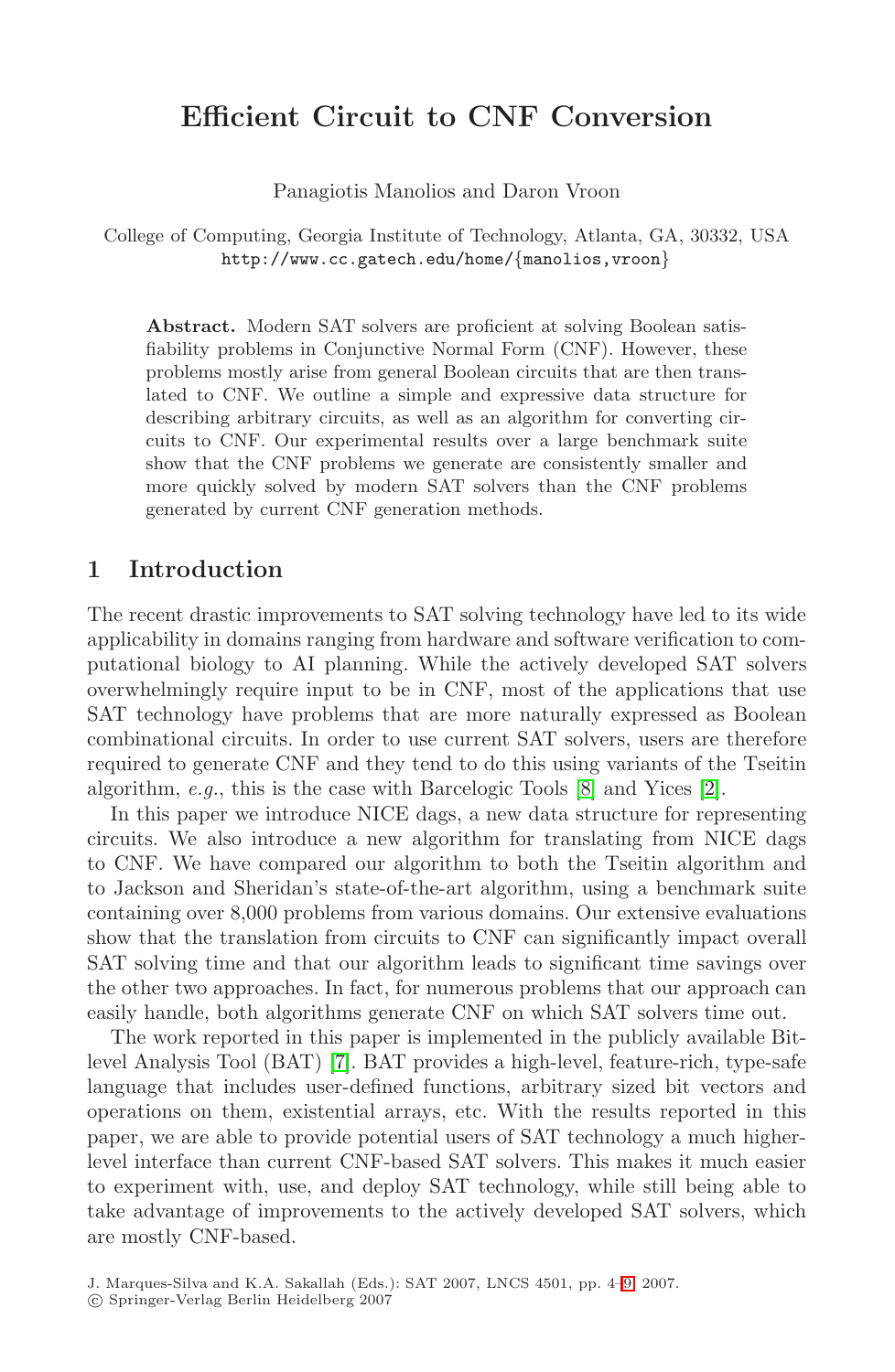# **Efficient Circuit to CNF Conversion**

Panagiotis Manolios and Daron Vroon

College of Computing, Georgia Institute of Technology, Atlanta, GA, 30332, USA http://www.cc.gatech.edu/home/{manolios,vroon}

**Abstract.** Modern SAT solvers are proficient at solving Boolean satisfiability problems in Conjunctive Normal Form (CNF). However, these problems mostly arise from general Boolean circuits that are then translated to CNF. We outline a simple and expressive data structure for describing arbitrary circuits, as well as an algorithm for converting circuits to CNF. Our experimental results over a large benchmark suite show that the CNF problems we generate are consistently smaller and more quickly solved by modern SAT solvers than the CNF problems generated by current CNF generation methods.

## **1 Introduction**

The recent drastic improvements to SAT solving technology have led to its wide applicability in domains ranging from hardware and software verification to computational biology to AI planning. While the actively developed SAT solvers overwhelmingly require input to be in CNF, most of the applications that use SAT technology have problems that are more naturally expressed as Boolean combinational circuits. In order to use current SAT solvers, users are therefore required to generate CNF and they tend to do this using variants of the Tseitin algorithm, *e.g.*, this is the case with Barcelogic Tools [8] and Yices [2].

In this paper we introduce NICE dags, a new data structure for representing circuits. We also introduce a new algorithm for translating from NICE dags to CNF. We have compared our algorithm to both the Tseitin algorithm and to Jackson and Sheridan's state-of-the-art algorithm, using a benchmark suite containing over 8,000 problems from various domains. Our extensive evaluations show that the translation from circuits to CNF can significantly impact overall SAT solving time and that our algorithm leads to significant time savings over the other two approaches. In fact, for numerous problems that our approach can easily handle, both algorithms generate CNF on which SAT solvers time out.

The work reported in this paper is implemented in the publicly available Bitlevel Analysis Tool (BAT) [7]. BAT provides a high-level, feature-rich, type-safe language that includes user-defined functions, arbitrary sized bit vectors and operations on them, existential arrays, etc. With the results reported in this paper, we are able to provide potential users of SAT technology a much higherlevel interface than current CNF-based SAT solvers. This makes it much easier to experiment with, use, and deploy SAT technology, while still being able to take advantage of improvements to the actively developed SAT solvers, which are mostly CNF-based.

J. Marques-Silva and K.A. Sakallah (Eds.): SAT 2007, LNCS 4501, pp. 4–9, 2007.

<sup>-</sup>c Springer-Verlag Berlin Heidelberg 2007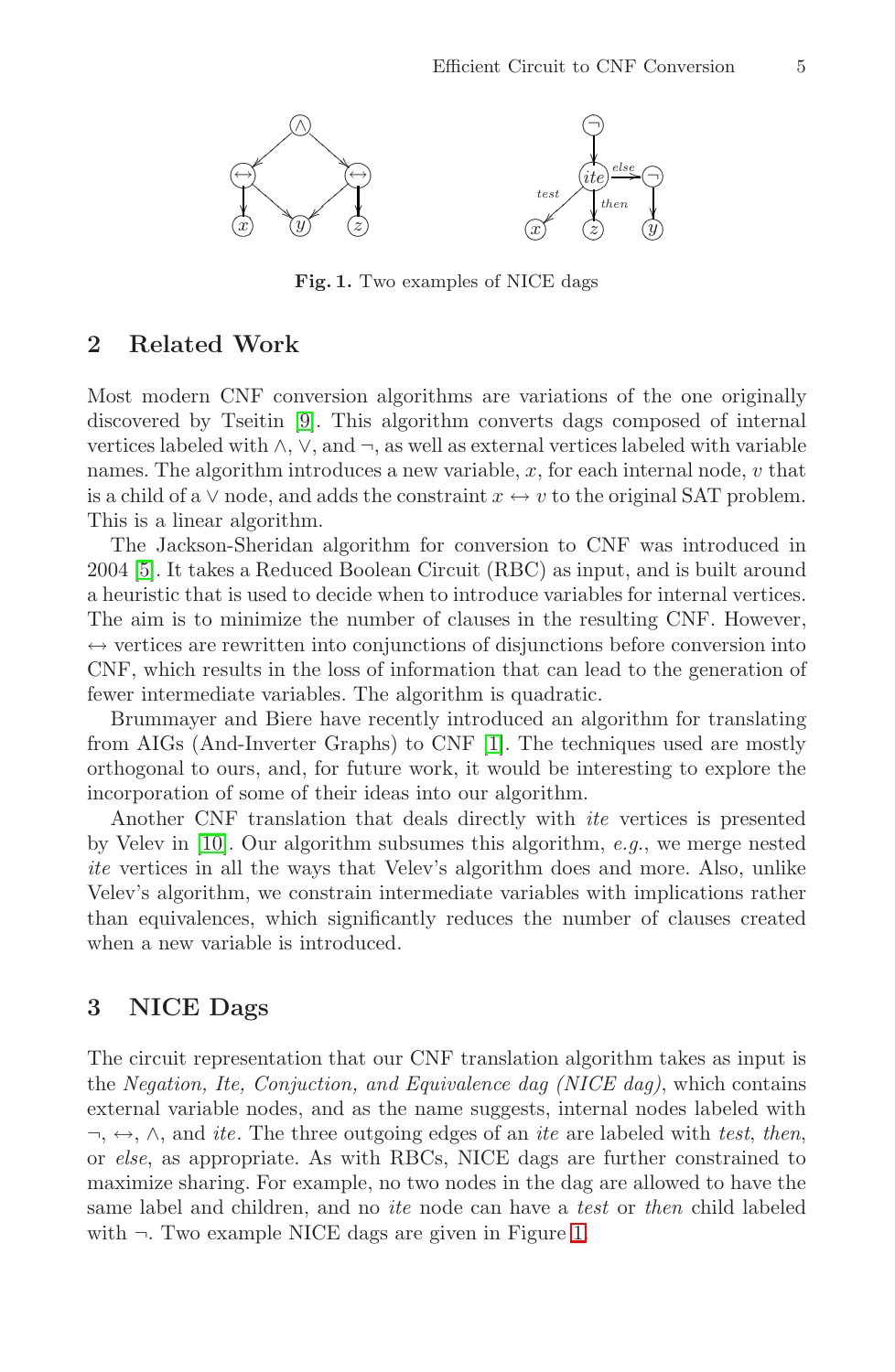

**Fig. 1.** Two examples of NICE dags

## **2 Related Work**

Most modern CNF conversion algorithms are variations of the one originally discovered by Tseitin [9]. This algorithm converts dags composed of internal vertices labeled with ∧, ∨, and ¬, as well as external vertices labeled with variable names. The algorithm introduces a new variable, *x*, for each internal node, *v* that is a child of a  $\vee$  node, and adds the constraint  $x \leftrightarrow v$  to the original SAT problem. This is a linear algorithm.

The Jackson-Sheridan algorithm for conversion to CNF was introduced in 2004 [5]. It takes a Reduced Boolean Circuit (RBC) as input, and is built around a heuristic that is used to decide when to introduce variables for internal vertices. The aim is to minimize the number of clauses in the resulting CNF. However,  $\leftrightarrow$  vertices are rewritten into conjunctions of disjunctions before conversion into CNF, which results in the loss of information that can lead to the generation of fewer intermediate variables. The algorithm is quadratic.

Brummayer and Biere have recently introduced an algorithm for translating from AIGs (And-Inverter Graphs) to CNF [1]. The techniques used are mostly orthogonal to ours, and, for future work, it would be interesting to explore the incorporation of some of their ideas into our algorithm.

Another CNF translation that deals directly with *ite* vertices is presented by Velev in [10]. Our algorithm subsumes this algorithm, *e.g.*, we merge nested *ite* vertices in all the ways that Velev's algorithm does and more. Also, unlike Velev's algorithm, we constrain intermediate variables with implications rather than equivalences, which significantly reduces the number of clauses created when a new variable is introduced.

## **3 NICE Dags**

The circuit representation that our CNF translation algorithm takes as input is the *Negation, Ite, Conjuction, and Equivalence dag (NICE dag)*, which contains external variable nodes, and as the name suggests, internal nodes labeled with ¬, ↔, ∧, and *ite*. The three outgoing edges of an *ite* are labeled with *test*, *then*, or *else*, as appropriate. As with RBCs, NICE dags are further constrained to maximize sharing. For example, no two nodes in the dag are allowed to have the same label and children, and no *ite* node can have a *test* or *then* child labeled with  $\neg$ . Two example NICE dags are given in Figure 1.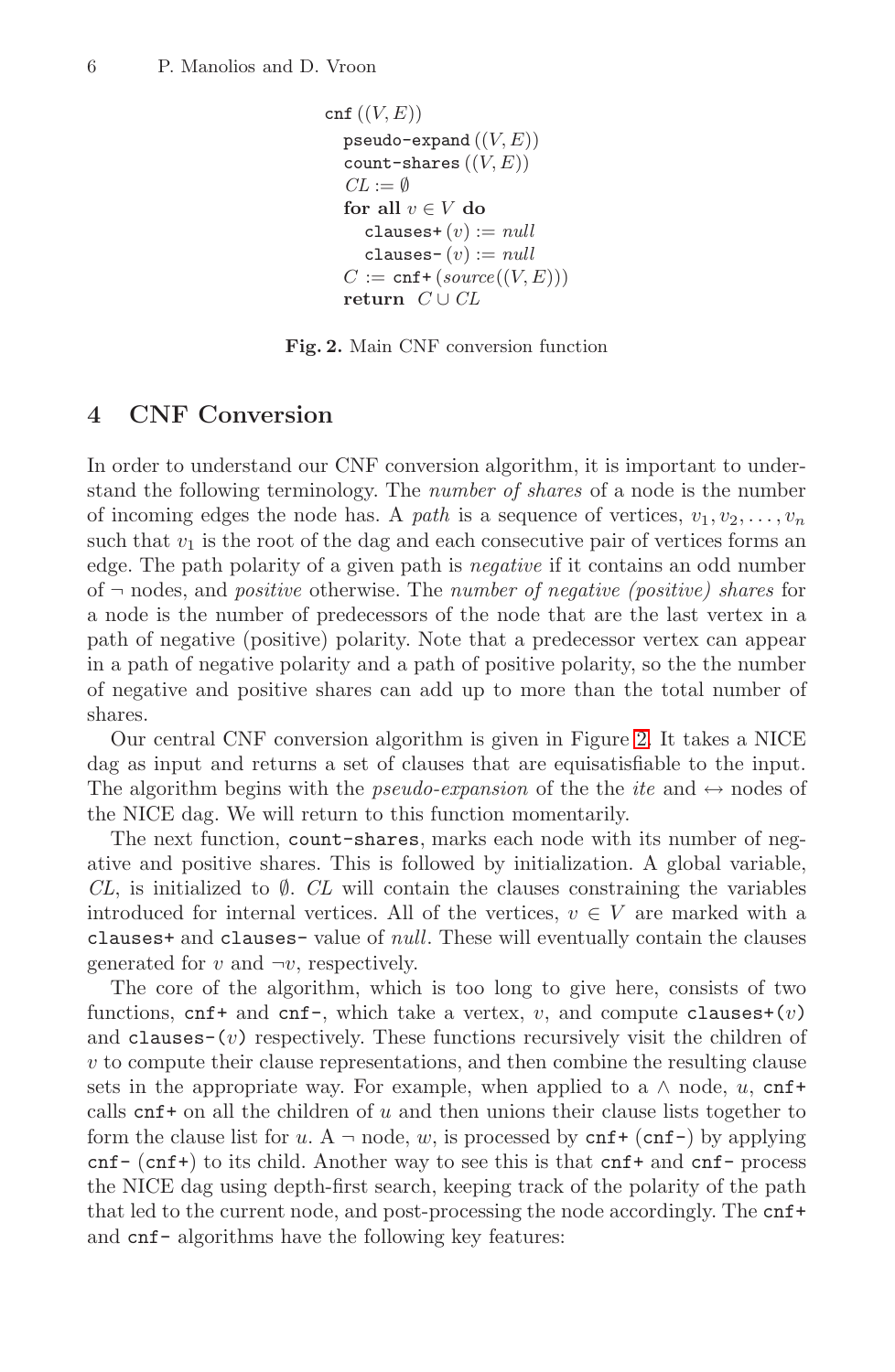6 P. Manolios and D. Vroon

```
cnf ((V, E))pseudo-expand ((V,E))
count-shares ((V,E))
CL := \emptysetfor all v \in V do
  clauses+(v) := nullclauses-(v) := nullC := \text{cnf} + (source((V, E)))return C ∪ CL
```
**Fig. 2.** Main CNF conversion function

## **4 CNF Conversion**

In order to understand our CNF conversion algorithm, it is important to understand the following terminology. The *number of shares* of a node is the number of incoming edges the node has. A *path* is a sequence of vertices,  $v_1, v_2, \ldots, v_n$ such that  $v_1$  is the root of the dag and each consecutive pair of vertices forms an edge. The path polarity of a given path is *negative* if it contains an odd number of ¬ nodes, and *positive* otherwise. The *number of negative (positive) shares* for a node is the number of predecessors of the node that are the last vertex in a path of negative (positive) polarity. Note that a predecessor vertex can appear in a path of negative polarity and a path of positive polarity, so the the number of negative and positive shares can add up to more than the total number of shares.

Our central CNF conversion algorithm is given in Figure 2. It takes a NICE dag as input and returns a set of clauses that are equisatisfiable to the input. The algorithm begins with the *pseudo-expansion* of the the *ite* and  $\leftrightarrow$  nodes of the NICE dag. We will return to this function momentarily.

The next function, count-shares, marks each node with its number of negative and positive shares. This is followed by initialization. A global variable, *CL*, is initialized to  $\emptyset$ . *CL* will contain the clauses constraining the variables introduced for internal vertices. All of the vertices,  $v \in V$  are marked with a clauses+ and clauses- value of *null*. These will eventually contain the clauses generated for  $v$  and  $\neg v$ , respectively.

The core of the algorithm, which is too long to give here, consists of two functions,  $cnf+$  and  $cnf-,$  which take a vertex, *v*, and compute  $clauses+(v)$ and clauses- $(v)$  respectively. These functions recursively visit the children of *v* to compute their clause representations, and then combine the resulting clause sets in the appropriate way. For example, when applied to a  $\land$  node,  $u$ , cnf<sup>+</sup> calls cnf+ on all the children of *u* and then unions their clause lists together to form the clause list for  $u$ . A  $\neg$  node,  $w$ , is processed by cnf+ (cnf-) by applying cnf- (cnf+) to its child. Another way to see this is that cnf+ and cnf- process the NICE dag using depth-first search, keeping track of the polarity of the path that led to the current node, and post-processing the node accordingly. The cnf+ and cnf- algorithms have the following key features: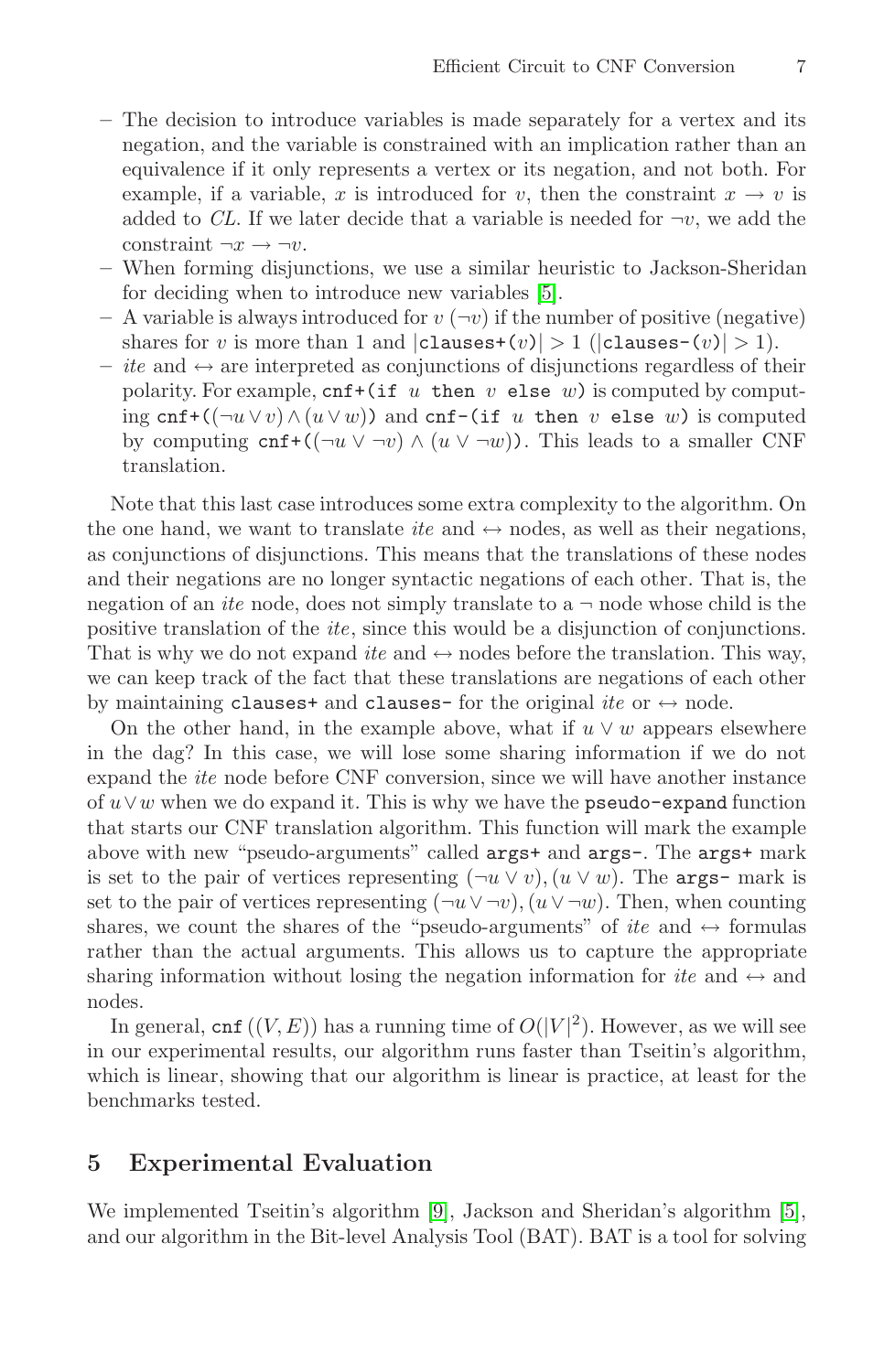- **–** The decision to introduce variables is made separately for a vertex and its negation, and the variable is constrained with an implication rather than an equivalence if it only represents a vertex or its negation, and not both. For example, if a variable, *x* is introduced for *v*, then the constraint  $x \to v$  is added to *CL*. If we later decide that a variable is needed for  $\neg v$ , we add the constraint  $\neg x \rightarrow \neg v$ .
- **–** When forming disjunctions, we use a similar heuristic to Jackson-Sheridan for deciding when to introduce new variables [5].
- $-$  A variable is always introduced for  $v(\neg v)$  if the number of positive (negative) shares for *v* is more than 1 and  $|$ clauses+ $(v)| > 1$  ( $|$ clauses- $(v)| > 1$ ).
- $−$  *ite* and  $\leftrightarrow$  are interpreted as conjunctions of disjunctions regardless of their polarity. For example,  $cnf+(if u then v else w)$  is computed by computing cnf+((¬*u*∨*v*)∧(*u*∨ *w*)) and cnf-(if *u* then *v* else *w*) is computed by computing cnf+ $((\neg u \lor \neg v) \land (u \lor \neg w))$ . This leads to a smaller CNF translation.

Note that this last case introduces some extra complexity to the algorithm. On the one hand, we want to translate *ite* and  $\leftrightarrow$  nodes, as well as their negations, as conjunctions of disjunctions. This means that the translations of these nodes and their negations are no longer syntactic negations of each other. That is, the negation of an *ite* node, does not simply translate to  $a \rightarrow$  node whose child is the positive translation of the *ite*, since this would be a disjunction of conjunctions. That is why we do not expand *ite* and  $\leftrightarrow$  nodes before the translation. This way, we can keep track of the fact that these translations are negations of each other by maintaining clauses+ and clauses- for the original *ite* or  $\leftrightarrow$  node.

On the other hand, in the example above, what if  $u \vee w$  appears elsewhere in the dag? In this case, we will lose some sharing information if we do not expand the *ite* node before CNF conversion, since we will have another instance of *u*∨*w* when we do expand it. This is why we have the pseudo-expand function that starts our CNF translation algorithm. This function will mark the example above with new "pseudo-arguments" called args+ and args-. The args+ mark is set to the pair of vertices representing  $(\neg u \lor v), (u \lor w)$ . The args- mark is set to the pair of vertices representing  $(\neg u \lor \neg v), (u \lor \neg w)$ . Then, when counting shares, we count the shares of the "pseudo-arguments" of *ite* and  $\leftrightarrow$  formulas rather than the actual arguments. This allows us to capture the appropriate sharing information without losing the negation information for *ite* and  $\leftrightarrow$  and nodes.

In general,  $\text{cnf } ((V, E))$  has a running time of  $O(|V|^2)$ . However, as we will see in our experimental results, our algorithm runs faster than Tseitin's algorithm, which is linear, showing that our algorithm is linear is practice, at least for the benchmarks tested.

#### **5 Experimental Evaluation**

We implemented Tseitin's algorithm [9], Jackson and Sheridan's algorithm [5], and our algorithm in the Bit-level Analysis Tool (BAT). BAT is a tool for solving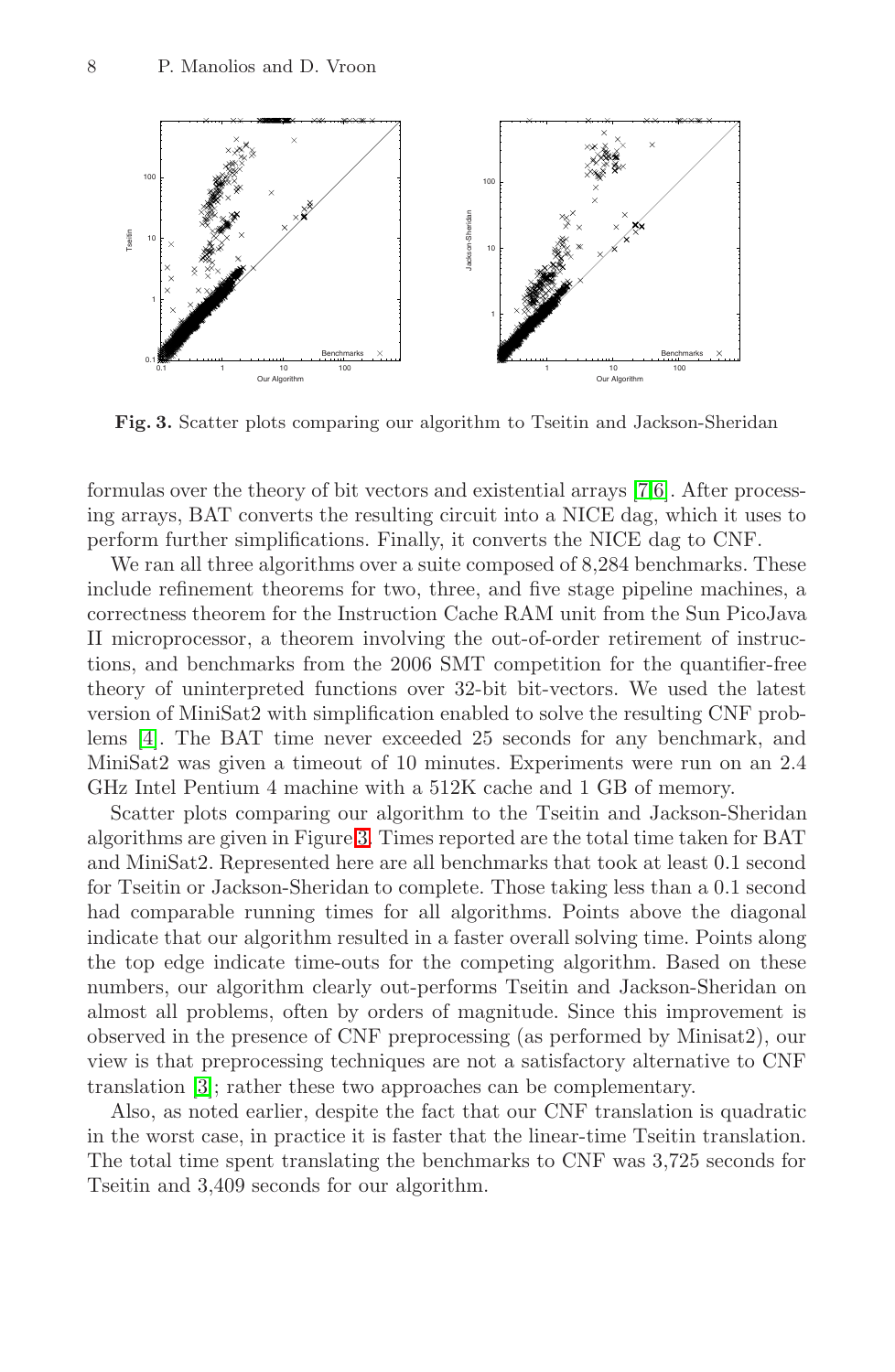

**Fig. 3.** Scatter plots comparing our algorithm to Tseitin and Jackson-Sheridan

formulas over the theory of bit vectors and existential arrays [7,6]. After processing arrays, BAT converts the resulting circuit into a NICE dag, which it uses to perform further simplifications. Finally, it converts the NICE dag to CNF.

We ran all three algorithms over a suite composed of 8,284 benchmarks. These include refinement theorems for two, three, and five stage pipeline machines, a correctness theorem for the Instruction Cache RAM unit from the Sun PicoJava II microprocessor, a theorem involving the out-of-order retirement of instructions, and benchmarks from the 2006 SMT competition for the quantifier-free theory of uninterpreted functions over 32-bit bit-vectors. We used the latest version of MiniSat2 with simplification enabled to solve the resulting CNF problems [4]. The BAT time never exceeded 25 seconds for any benchmark, and MiniSat2 was given a timeout of 10 minutes. Experiments were run on an 2.4 GHz Intel Pentium 4 machine with a 512K cache and 1 GB of memory.

Scatter plots comparing our algorithm to the Tseitin and Jackson-Sheridan algorithms are given in Figure 3. Times reported are the total time taken for BAT and MiniSat2. Represented here are all benchmarks that took at least 0.1 second for Tseitin or Jackson-Sheridan to complete. Those taking less than a 0.1 second had comparable running times for all algorithms. Points above the diagonal indicate that our algorithm resulted in a faster overall solving time. Points along the top edge indicate time-outs for the competing algorithm. Based on these numbers, our algorithm clearly out-performs Tseitin and Jackson-Sheridan on almost all problems, often by orders of magnitude. Since this improvement is observed in the presence of CNF preprocessing (as performed by Minisat2), our view is that preprocessing techniques are not a satisfactory alternative to CNF translation [3]; rather these two approaches can be complementary.

Also, as noted earlier, despite the fact that our CNF translation is quadratic in the worst case, in practice it is faster that the linear-time Tseitin translation. The total time spent translating the benchmarks to CNF was 3,725 seconds for Tseitin and 3,409 seconds for our algorithm.